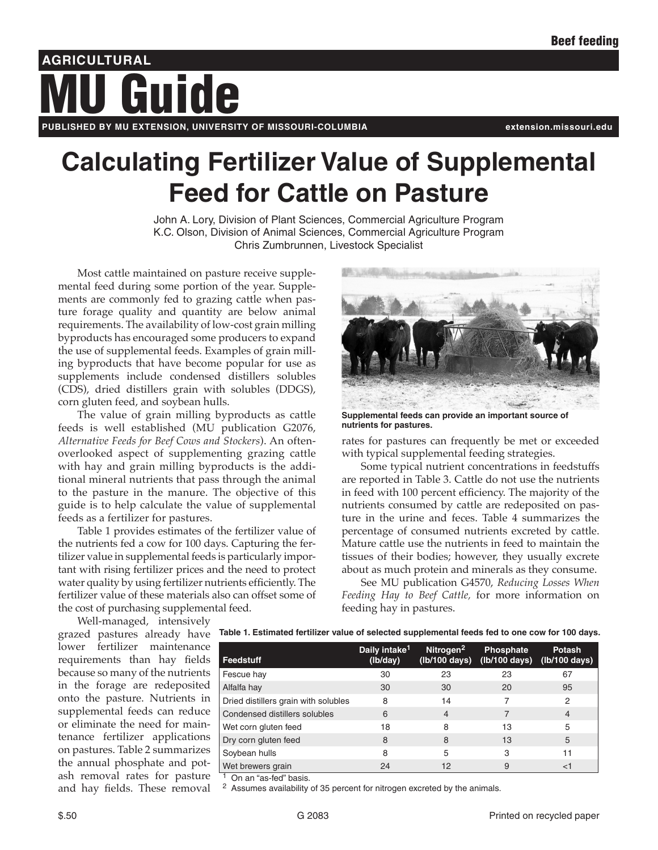# **AGRICULTURAL PUBLISHED BY MU EXTENSION, UNIVERSITY OF MISSOURI-COLUMBIA extension.missouri.edu** Guide

# **Calculating Fertilizer Value of Supplemental Feed for Cattle on Pasture**

John A. Lory, Division of Plant Sciences, Commercial Agriculture Program K.C. Olson, Division of Animal Sciences, Commercial Agriculture Program Chris Zumbrunnen, Livestock Specialist

Most cattle maintained on pasture receive supplemental feed during some portion of the year. Supplements are commonly fed to grazing cattle when pasture forage quality and quantity are below animal requirements. The availability of low-cost grain milling byproducts has encouraged some producers to expand the use of supplemental feeds. Examples of grain milling byproducts that have become popular for use as supplements include condensed distillers solubles (CDS), dried distillers grain with solubles (DDGS), corn gluten feed, and soybean hulls.

The value of grain milling byproducts as cattle feeds is well established (MU publication G2076, *Alternative Feeds for Beef Cows and Stockers*). An oftenoverlooked aspect of supplementing grazing cattle with hay and grain milling byproducts is the additional mineral nutrients that pass through the animal to the pasture in the manure. The objective of this guide is to help calculate the value of supplemental feeds as a fertilizer for pastures.

Table 1 provides estimates of the fertilizer value of the nutrients fed a cow for 100 days. Capturing the fertilizer value in supplemental feeds is particularly important with rising fertilizer prices and the need to protect water quality by using fertilizer nutrients efficiently. The fertilizer value of these materials also can offset some of the cost of purchasing supplemental feed.

**Supplemental feeds can provide an important source of nutrients for pastures.**

rates for pastures can frequently be met or exceeded with typical supplemental feeding strategies.

Some typical nutrient concentrations in feedstuffs are reported in Table 3. Cattle do not use the nutrients in feed with 100 percent efficiency. The majority of the nutrients consumed by cattle are redeposited on pasture in the urine and feces. Table 4 summarizes the percentage of consumed nutrients excreted by cattle. Mature cattle use the nutrients in feed to maintain the tissues of their bodies; however, they usually excrete about as much protein and minerals as they consume.

See MU publication G4570, *Reducing Losses When Feeding Hay to Beef Cattle,* for more information on feeding hay in pastures.

Well-managed, intensively lower fertilizer maintenance requirements than hay fields because so many of the nutrients in the forage are redeposited onto the pasture. Nutrients in supplemental feeds can reduce or eliminate the need for maintenance fertilizer applications on pastures. Table 2 summarizes the annual phosphate and potash removal rates for pasture and hay fields. These removal

grazed pastures already have **Table 1. Estimated fertilizer value of selected supplemental feeds fed to one cow for 100 days.** 

| Feedstuff                            | Daily intake <sup>1</sup><br>(lb/day) | Nitrogen <sup>2</sup><br>(lb/100 days) | <b>Phosphate</b><br>(lb/100 days) | <b>Potash</b><br>(lb/100 days) |
|--------------------------------------|---------------------------------------|----------------------------------------|-----------------------------------|--------------------------------|
| Fescue hay                           | 30                                    | 23                                     | 23                                | 67                             |
| Alfalfa hay                          | 30                                    | 30                                     | 20                                | 95                             |
| Dried distillers grain with solubles | 8                                     | 14                                     |                                   | 2                              |
| Condensed distillers solubles        | 6                                     | $\overline{4}$                         | 7                                 | 4                              |
| Wet corn gluten feed                 | 18                                    | 8                                      | 13                                | 5                              |
| Dry corn gluten feed                 | 8                                     | 8                                      | 13                                | 5                              |
| Soybean hulls                        | 8                                     | 5                                      | 3                                 | 11                             |
| Wet brewers grain                    | 24                                    | 12                                     | 9                                 | $<$ 1                          |

On an "as-fed" basis.

<sup>2</sup> Assumes availability of 35 percent for nitrogen excreted by the animals.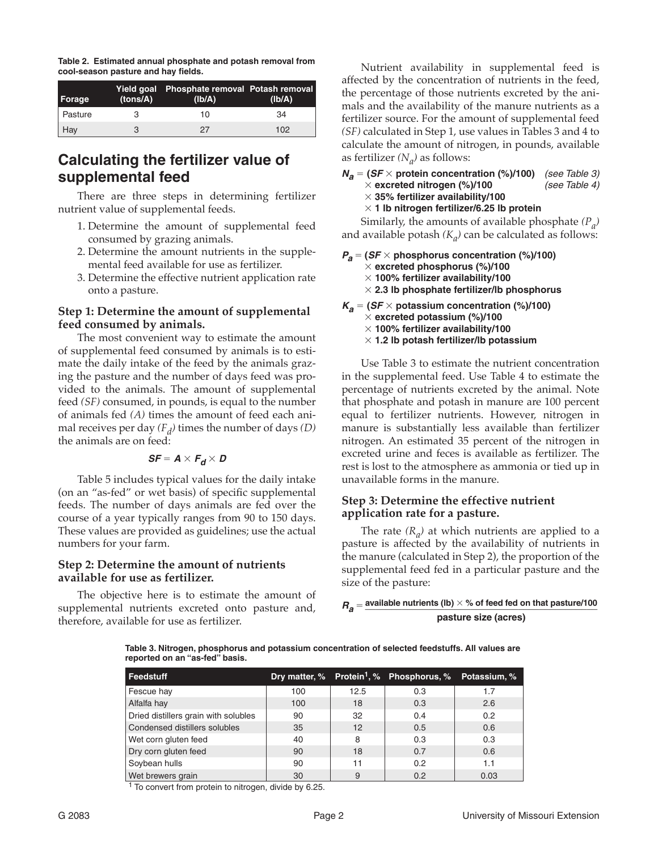**Table 2. Estimated annual phosphate and potash removal from cool-season pasture and hay fields.**

| Forage  | (tons/A) | Yield goal Phosphate removal Potash removal<br>(Ib/A) | (Ib/A) |
|---------|----------|-------------------------------------------------------|--------|
| Pasture |          | 10                                                    | 34     |
| Hay     |          | 27                                                    | 102    |

# **Calculating the fertilizer value of supplemental feed**

There are three steps in determining fertilizer nutrient value of supplemental feeds.

- 1. Determine the amount of supplemental feed consumed by grazing animals.
- 2. Determine the amount nutrients in the supplemental feed available for use as fertilizer.
- 3. Determine the effective nutrient application rate onto a pasture.

#### **Step 1: Determine the amount of supplemental feed consumed by animals.**

The most convenient way to estimate the amount of supplemental feed consumed by animals is to estimate the daily intake of the feed by the animals grazing the pasture and the number of days feed was provided to the animals. The amount of supplemental feed *(SF)* consumed, in pounds, is equal to the number of animals fed *(A)* times the amount of feed each animal receives per day  $(F_d)$  times the number of days  $(D)$ the animals are on feed:

$$
SF = A \times F_d \times D
$$

Table 5 includes typical values for the daily intake (on an "as-fed" or wet basis) of specific supplemental feeds. The number of days animals are fed over the course of a year typically ranges from 90 to 150 days. These values are provided as guidelines; use the actual numbers for your farm.

## **Step 2: Determine the amount of nutrients available for use as fertilizer.**

The objective here is to estimate the amount of supplemental nutrients excreted onto pasture and, therefore, available for use as fertilizer.

Nutrient availability in supplemental feed is affected by the concentration of nutrients in the feed, the percentage of those nutrients excreted by the animals and the availability of the manure nutrients as a fertilizer source. For the amount of supplemental feed *(SF)* calculated in Step 1, use values in Tables 3 and 4 to calculate the amount of nitrogen, in pounds, available as fertilizer  $(N_a)$  as follows:

#### $N_a = (SF \times$  protein concentration (%)/100) *(see Table 3)*<br>  $\times$  excreted nitrogen (%)/100 *(see Table 4)*  $\times$  excreted nitrogen (%)/100 3 **35% fertilizer availability/100**

#### $\times$  1 lb nitrogen fertilizer/6.25 lb protein

Similarly, the amounts of available phosphate *(Pa)* and available potash  $(K_a)$  can be calculated as follows:

- $P_a = (SF \times \text{phosphorus concentration } (\%)/100)$ 3 **excreted phosphorus (%)/100**  3 **100% fertilizer availability/100** 
	- 3 **2.3 lb phosphate fertilizer/lb phosphorus**

 $K_a = (SF \times potassium$  concentration (%)/100) 3 **excreted potassium (%)/100**  $\times$  100% fertilizer availability/100

 $\times$  1.2 lb potash fertilizer/lb potassium

Use Table 3 to estimate the nutrient concentration in the supplemental feed. Use Table 4 to estimate the percentage of nutrients excreted by the animal. Note that phosphate and potash in manure are 100 percent equal to fertilizer nutrients. However, nitrogen in manure is substantially less available than fertilizer nitrogen. An estimated 35 percent of the nitrogen in excreted urine and feces is available as fertilizer. The rest is lost to the atmosphere as ammonia or tied up in unavailable forms in the manure.

## **Step 3: Determine the effective nutrient application rate for a pasture.**

The rate  $(R_a)$  at which nutrients are applied to a pasture is affected by the availability of nutrients in the manure (calculated in Step 2), the proportion of the supplemental feed fed in a particular pasture and the size of the pasture:

## $R_a$  = available nutrients (lb)  $\times$  % of feed fed on that pasture/100 **pasture size (acres)**

**Table 3. Nitrogen, phosphorus and potassium concentration of selected feedstuffs. All values are reported on an "as-fed" basis.**

| Feedstuff                            |     |      | Dry matter, % Protein <sup>1</sup> , % Phosphorus, % Potassium, % |      |
|--------------------------------------|-----|------|-------------------------------------------------------------------|------|
| Fescue hay                           | 100 | 12.5 | 0.3                                                               | 1.7  |
| Alfalfa hay                          | 100 | 18   | 0.3                                                               | 2.6  |
| Dried distillers grain with solubles | 90  | 32   | 0.4                                                               | 0.2  |
| Condensed distillers solubles        | 35  | 12   | 0.5                                                               | 0.6  |
| Wet corn gluten feed                 | 40  | 8    | 0.3                                                               | 0.3  |
| Dry corn gluten feed                 | 90  | 18   | 0.7                                                               | 0.6  |
| Soybean hulls                        | 90  | 11   | 0.2                                                               | 1.1  |
| Wet brewers grain                    | 30  | 9    | 0.2                                                               | 0.03 |

 $1$  To convert from protein to nitrogen, divide by 6.25.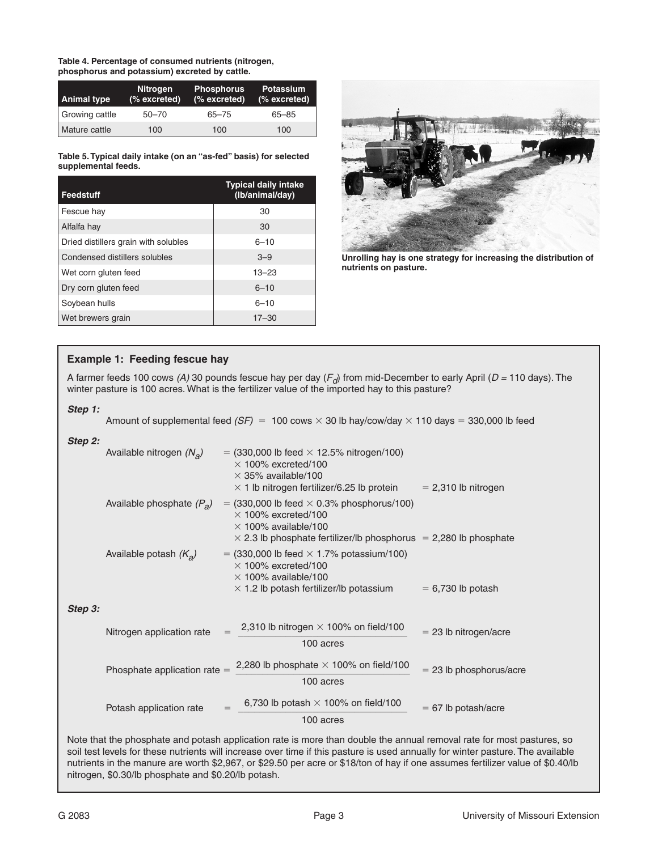**Table 4. Percentage of consumed nutrients (nitrogen, phosphorus and potassium) excreted by cattle.**

| <b>Animal type</b> | <b>Nitrogen</b><br>(% excreted) | <b>Phosphorus</b><br>(% excreted) | <b>Potassium</b><br>$(%$ excreted) |
|--------------------|---------------------------------|-----------------------------------|------------------------------------|
| Growing cattle     | $50 - 70$                       | $65 - 75$                         | $65 - 85$                          |
| Mature cattle      | 100                             | 100                               | 100                                |

**Table 5. Typical daily intake (on an "as-fed" basis) for selected supplemental feeds.**

| Feedstuff                            | <b>Typical daily intake</b><br>(Ib/animal/day) |
|--------------------------------------|------------------------------------------------|
| Fescue hay                           | 30                                             |
| Alfalfa hay                          | 30                                             |
| Dried distillers grain with solubles | $6 - 10$                                       |
| Condensed distillers solubles        | $3 - 9$                                        |
| Wet corn gluten feed                 | $13 - 23$                                      |
| Dry corn gluten feed                 | $6 - 10$                                       |
| Soybean hulls                        | $6 - 10$                                       |
| Wet brewers grain                    | $17 - 30$                                      |



**Unrolling hay is one strategy for increasing the distribution of nutrients on pasture.**

## **Example 1: Feeding fescue hay**

A farmer feeds 100 cows (A) 30 pounds fescue hay per day (F<sub>d</sub>) from mid-December to early April (D = 110 days). The winter pasture is 100 acres. What is the fertilizer value of the imported hay to this pasture?

#### *Step 1:*

Amount of supplemental feed  $(SF) = 100 \text{ cows} \times 30 \text{ lb}$  hay/cow/day  $\times 110 \text{ days} = 330,000 \text{ lb}$  feed

#### *Step 2:*

|        | Available nitrogen $(N_a)$         | $=$ (330,000 lb feed $\times$ 12.5% nitrogen/100)<br>$\times$ 100% excreted/100<br>$\times$ 35% available/100<br>$\times$ 1 lb nitrogen fertilizer/6.25 lb protein                         | $= 2,310$ lb nitrogen     |
|--------|------------------------------------|--------------------------------------------------------------------------------------------------------------------------------------------------------------------------------------------|---------------------------|
|        | Available phosphate $(P_{\alpha})$ | $=$ (330,000 lb feed $\times$ 0.3% phosphorus/100)<br>$\times$ 100% excreted/100<br>$\times$ 100% available/100<br>$\times$ 2.3 lb phosphate fertilizer/lb phosphorus = 2,280 lb phosphate |                           |
|        | Available potash $(K_a)$           | $=$ (330,000 lb feed $\times$ 1.7% potassium/100)<br>$\times$ 100% excreted/100<br>$\times$ 100% available/100<br>$\times$ 1.2 lb potash fertilizer/lb potassium                           | $= 6,730$ lb potash       |
| tep 3: |                                    |                                                                                                                                                                                            |                           |
|        | Nitrogen application rate          | 2,310 lb nitrogen $\times$ 100% on field/100<br>100 acres                                                                                                                                  | $=$ 23 lb nitrogen/acre   |
|        | Phosphate application rate $=$     | 2,280 lb phosphate $\times$ 100% on field/100<br>100 acres                                                                                                                                 | $= 23$ lb phosphorus/acre |
|        | Potash application rate            | 6,730 lb potash $\times$ 100% on field/100<br>100 acres                                                                                                                                    | $= 67$ lb potash/acre     |

Note that the phosphate and potash application rate is more than double the annual removal rate for most pastures, so soil test levels for these nutrients will increase over time if this pasture is used annually for winter pasture. The available nutrients in the manure are worth \$2,967, or \$29.50 per acre or \$18/ton of hay if one assumes fertilizer value of \$0.40/lb nitrogen, \$0.30/lb phosphate and \$0.20/lb potash.

*Step 3:*